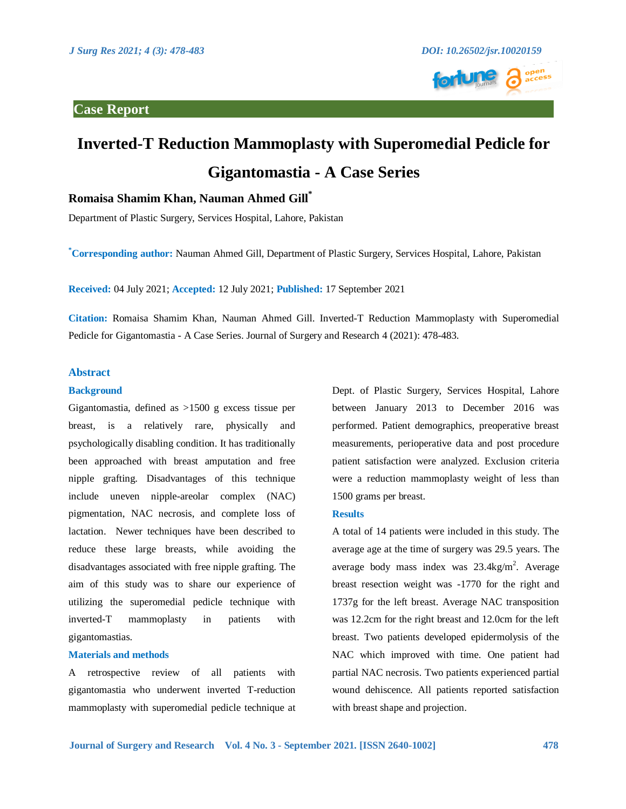# **Case Report**



# **Inverted-T Reduction Mammoplasty with Superomedial Pedicle for Gigantomastia - A Case Series**

# **Romaisa Shamim Khan, Nauman Ahmed Gill\***

Department of Plastic Surgery, Services Hospital, Lahore, Pakistan

**\*Corresponding author:** Nauman Ahmed Gill, Department of Plastic Surgery, Services Hospital, Lahore, Pakistan

**Received:** 04 July 2021; **Accepted:** 12 July 2021; **Published:** 17 September 2021

**Citation:** Romaisa Shamim Khan, Nauman Ahmed Gill. Inverted-T Reduction Mammoplasty with Superomedial Pedicle for Gigantomastia - A Case Series. Journal of Surgery and Research 4 (2021): 478-483.

### **Abstract**

#### **Background**

Gigantomastia, defined as >1500 g excess tissue per breast, is a relatively rare, physically and psychologically disabling condition. It has traditionally been approached with breast amputation and free nipple grafting. Disadvantages of this technique include uneven nipple-areolar complex (NAC) pigmentation, NAC necrosis, and complete loss of lactation. Newer techniques have been described to reduce these large breasts, while avoiding the disadvantages associated with free nipple grafting. The aim of this study was to share our experience of utilizing the superomedial pedicle technique with inverted-T mammoplasty in patients with gigantomastias.

#### **Materials and methods**

A retrospective review of all patients with gigantomastia who underwent inverted T-reduction mammoplasty with superomedial pedicle technique at Dept. of Plastic Surgery, Services Hospital, Lahore between January 2013 to December 2016 was performed. Patient demographics, preoperative breast measurements, perioperative data and post procedure patient satisfaction were analyzed. Exclusion criteria were a reduction mammoplasty weight of less than 1500 grams per breast.

#### **Results**

A total of 14 patients were included in this study. The average age at the time of surgery was 29.5 years. The average body mass index was  $23.4\text{kg/m}^2$ . Average breast resection weight was -1770 for the right and 1737g for the left breast. Average NAC transposition was 12.2cm for the right breast and 12.0cm for the left breast. Two patients developed epidermolysis of the NAC which improved with time. One patient had partial NAC necrosis. Two patients experienced partial wound dehiscence. All patients reported satisfaction with breast shape and projection.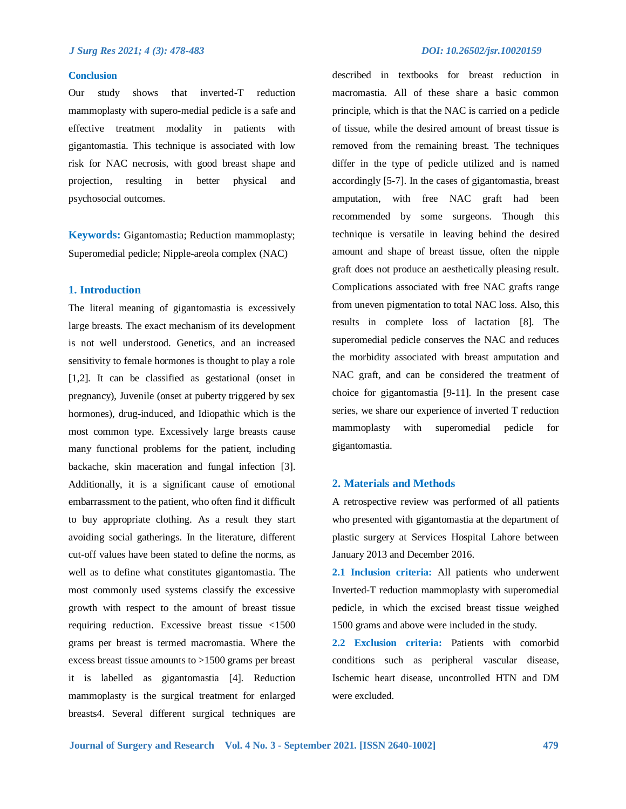#### **Conclusion**

Our study shows that inverted-T reduction mammoplasty with supero-medial pedicle is a safe and effective treatment modality in patients with gigantomastia. This technique is associated with low risk for NAC necrosis, with good breast shape and projection, resulting in better physical and psychosocial outcomes.

**Keywords:** Gigantomastia; Reduction mammoplasty; Superomedial pedicle; Nipple-areola complex (NAC)

# **1. Introduction**

The literal meaning of gigantomastia is excessively large breasts. The exact mechanism of its development is not well understood. Genetics, and an increased sensitivity to female hormones is thought to play a role [1,2]. It can be classified as gestational (onset in pregnancy), Juvenile (onset at puberty triggered by sex hormones), drug-induced, and Idiopathic which is the most common type. Excessively large breasts cause many functional problems for the patient, including backache, skin maceration and fungal infection [3]. Additionally, it is a significant cause of emotional embarrassment to the patient, who often find it difficult to buy appropriate clothing. As a result they start avoiding social gatherings. In the literature, different cut-off values have been stated to define the norms, as well as to define what constitutes gigantomastia. The most commonly used systems classify the excessive growth with respect to the amount of breast tissue requiring reduction. Excessive breast tissue <1500 grams per breast is termed macromastia. Where the excess breast tissue amounts to >1500 grams per breast it is labelled as gigantomastia [4]. Reduction mammoplasty is the surgical treatment for enlarged breasts4. Several different surgical techniques are described in textbooks for breast reduction in macromastia. All of these share a basic common principle, which is that the NAC is carried on a pedicle of tissue, while the desired amount of breast tissue is removed from the remaining breast. The techniques differ in the type of pedicle utilized and is named accordingly [5-7]. In the cases of gigantomastia, breast amputation, with free NAC graft had been recommended by some surgeons. Though this technique is versatile in leaving behind the desired amount and shape of breast tissue, often the nipple graft does not produce an aesthetically pleasing result. Complications associated with free NAC grafts range from uneven pigmentation to total NAC loss. Also, this results in complete loss of lactation [8]. The superomedial pedicle conserves the NAC and reduces the morbidity associated with breast amputation and NAC graft, and can be considered the treatment of choice for gigantomastia [9-11]. In the present case series, we share our experience of inverted T reduction mammoplasty with superomedial pedicle for gigantomastia.

#### **2. Materials and Methods**

A retrospective review was performed of all patients who presented with gigantomastia at the department of plastic surgery at Services Hospital Lahore between January 2013 and December 2016.

**2.1 Inclusion criteria:** All patients who underwent Inverted-T reduction mammoplasty with superomedial pedicle, in which the excised breast tissue weighed 1500 grams and above were included in the study.

**2.2 Exclusion criteria:** Patients with comorbid conditions such as peripheral vascular disease, Ischemic heart disease, uncontrolled HTN and DM were excluded.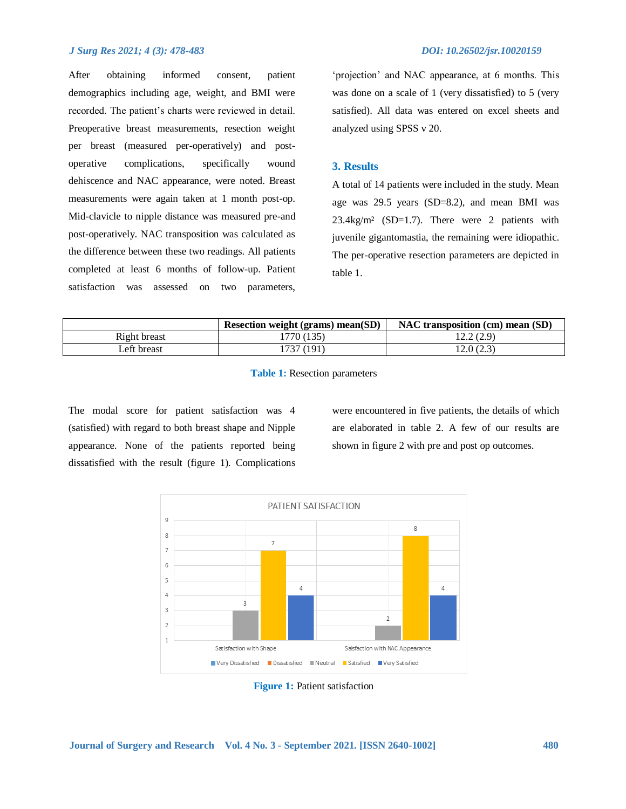#### *J Surg Res 2021; 4 (3): 478-483 DOI: 10.26502/jsr.10020159*

After obtaining informed consent, patient demographics including age, weight, and BMI were recorded. The patient's charts were reviewed in detail. Preoperative breast measurements, resection weight per breast (measured per-operatively) and postoperative complications, specifically wound dehiscence and NAC appearance, were noted. Breast measurements were again taken at 1 month post-op. Mid-clavicle to nipple distance was measured pre-and post-operatively. NAC transposition was calculated as the difference between these two readings. All patients completed at least 6 months of follow-up. Patient satisfaction was assessed on two parameters,

'projection' and NAC appearance, at 6 months. This was done on a scale of 1 (very dissatisfied) to 5 (very satisfied). All data was entered on excel sheets and analyzed using SPSS v 20.

#### **3. Results**

A total of 14 patients were included in the study. Mean age was 29.5 years (SD=8.2), and mean BMI was 23.4kg/m² (SD=1.7). There were 2 patients with juvenile gigantomastia, the remaining were idiopathic. The per-operative resection parameters are depicted in table 1.

|              | <b>Resection weight (grams) mean(SD)</b> | <b>NAC</b> transposition (cm) mean (SD) |
|--------------|------------------------------------------|-----------------------------------------|
| Right breast | 770 (135)                                | 12.2 (2.9)                              |
| eft breast.  | 737 (191)                                | 12.0 (2.3)                              |

#### **Table 1:** Resection parameters

The modal score for patient satisfaction was 4 (satisfied) with regard to both breast shape and Nipple appearance. None of the patients reported being dissatisfied with the result (figure 1). Complications

were encountered in five patients, the details of which are elaborated in table 2. A few of our results are shown in figure 2 with pre and post op outcomes.



**Figure 1: Patient satisfaction**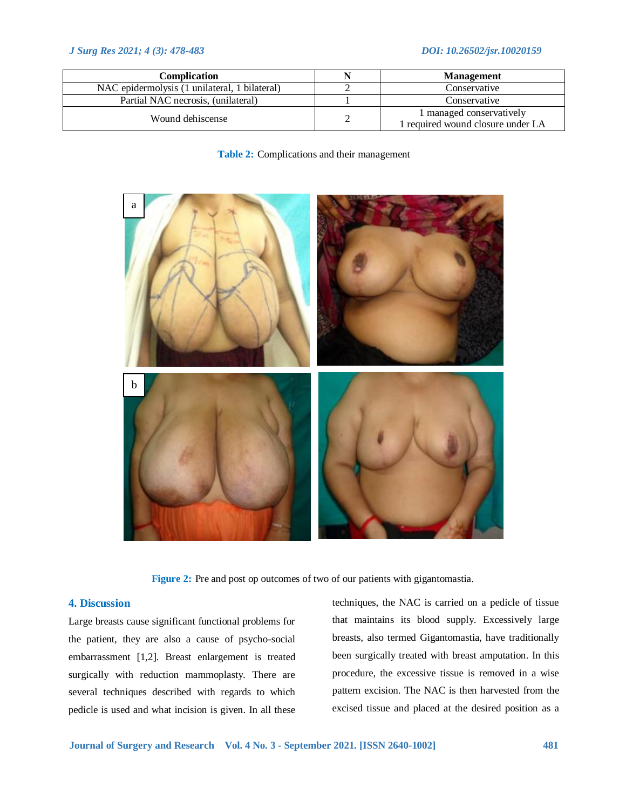| Complication                                  | N | <b>Management</b>                 |
|-----------------------------------------------|---|-----------------------------------|
| NAC epidermolysis (1 unilateral, 1 bilateral) |   | Conservative                      |
| Partial NAC necrosis, (unilateral)            |   | Conservative                      |
| Wound dehiscense                              |   | 1 managed conservatively          |
|                                               |   | 1 required wound closure under LA |

# **Table 2:** Complications and their management



**Figure 2:** Pre and post op outcomes of two of our patients with gigantomastia.

# **4. Discussion**

Large breasts cause significant functional problems for the patient, they are also a cause of psycho-social embarrassment [1,2]. Breast enlargement is treated surgically with reduction mammoplasty. There are several techniques described with regards to which pedicle is used and what incision is given. In all these

techniques, the NAC is carried on a pedicle of tissue that maintains its blood supply. Excessively large breasts, also termed Gigantomastia, have traditionally been surgically treated with breast amputation. In this procedure, the excessive tissue is removed in a wise pattern excision. The NAC is then harvested from the excised tissue and placed at the desired position as a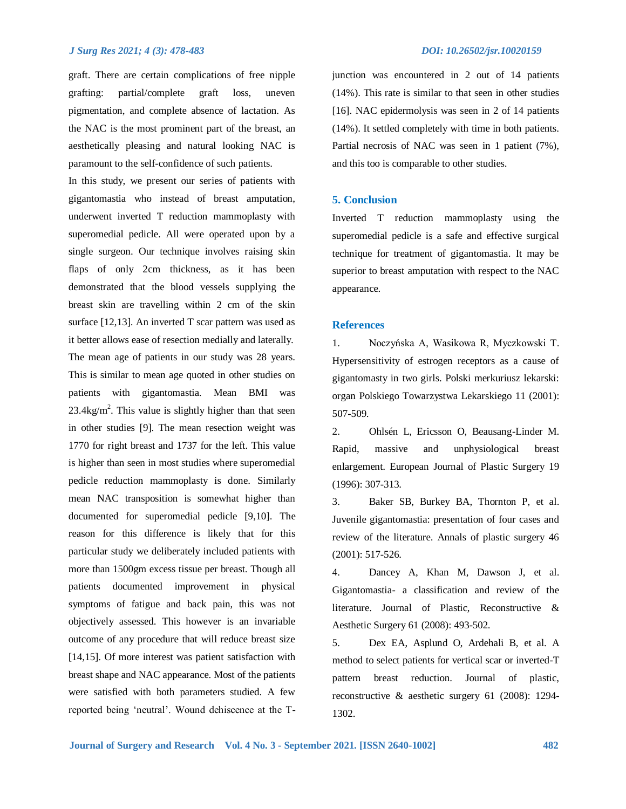#### *J Surg Res 2021; 4 (3): 478-483 DOI: 10.26502/jsr.10020159*

graft. There are certain complications of free nipple grafting: partial/complete graft loss, uneven pigmentation, and complete absence of lactation. As the NAC is the most prominent part of the breast, an aesthetically pleasing and natural looking NAC is paramount to the self-confidence of such patients.

In this study, we present our series of patients with gigantomastia who instead of breast amputation, underwent inverted T reduction mammoplasty with superomedial pedicle. All were operated upon by a single surgeon. Our technique involves raising skin flaps of only 2cm thickness, as it has been demonstrated that the blood vessels supplying the breast skin are travelling within 2 cm of the skin surface [12,13]. An inverted T scar pattern was used as it better allows ease of resection medially and laterally. The mean age of patients in our study was 28 years. This is similar to mean age quoted in other studies on patients with gigantomastia. Mean BMI was  $23.4\text{kg/m}^2$ . This value is slightly higher than that seen in other studies [9]. The mean resection weight was 1770 for right breast and 1737 for the left. This value is higher than seen in most studies where superomedial pedicle reduction mammoplasty is done. Similarly mean NAC transposition is somewhat higher than documented for superomedial pedicle [9,10]. The reason for this difference is likely that for this particular study we deliberately included patients with more than 1500gm excess tissue per breast. Though all patients documented improvement in physical symptoms of fatigue and back pain, this was not objectively assessed. This however is an invariable outcome of any procedure that will reduce breast size [14,15]. Of more interest was patient satisfaction with breast shape and NAC appearance. Most of the patients were satisfied with both parameters studied. A few reported being 'neutral'. Wound dehiscence at the T- junction was encountered in 2 out of 14 patients (14%). This rate is similar to that seen in other studies [16]. NAC epidermolysis was seen in 2 of 14 patients (14%). It settled completely with time in both patients. Partial necrosis of NAC was seen in 1 patient (7%), and this too is comparable to other studies.

### **5. Conclusion**

Inverted T reduction mammoplasty using the superomedial pedicle is a safe and effective surgical technique for treatment of gigantomastia. It may be superior to breast amputation with respect to the NAC appearance.

### **References**

1. Noczyńska A, Wasikowa R, Myczkowski T. Hypersensitivity of estrogen receptors as a cause of gigantomasty in two girls. Polski merkuriusz lekarski: organ Polskiego Towarzystwa Lekarskiego 11 (2001): 507-509.

2. Ohlsén L, Ericsson O, Beausang-Linder M. Rapid, massive and unphysiological breast enlargement. European Journal of Plastic Surgery 19 (1996): 307-313.

3. Baker SB, Burkey BA, Thornton P, et al. Juvenile gigantomastia: presentation of four cases and review of the literature. Annals of plastic surgery 46 (2001): 517-526.

4. Dancey A, Khan M, Dawson J, et al. Gigantomastia- a classification and review of the literature. Journal of Plastic, Reconstructive & Aesthetic Surgery 61 (2008): 493-502.

5. Dex EA, Asplund O, Ardehali B, et al. A method to select patients for vertical scar or inverted-T pattern breast reduction. Journal of plastic, reconstructive & aesthetic surgery 61 (2008): 1294- 1302.